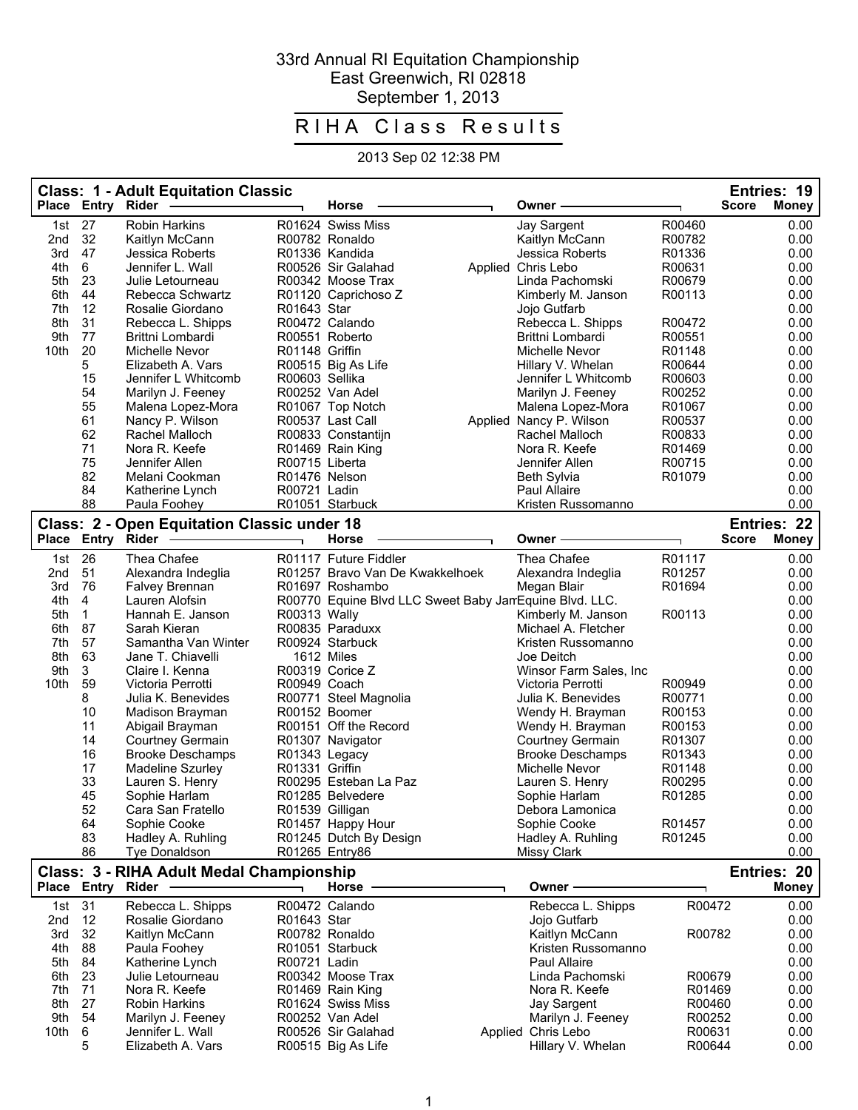## 33rd Annual RI Equitation Championship East Greenwich, RI 02818 September 1, 2013

## RIHA Class Results

## 2013 Sep 02 12:38 PM

|              | Place Entry Rider | <b>Class: 1 - Adult Equitation Classic</b>         |                 | Horse                                                  | Owner                                 |                  | Entries: 19<br><b>Score</b><br><b>Money</b> |
|--------------|-------------------|----------------------------------------------------|-----------------|--------------------------------------------------------|---------------------------------------|------------------|---------------------------------------------|
|              |                   |                                                    |                 |                                                        |                                       |                  |                                             |
| 1st          | 27                | <b>Robin Harkins</b>                               |                 | R01624 Swiss Miss                                      | Jay Sargent                           | R00460           | 0.00                                        |
| 2nd          | 32                | Kaitlyn McCann                                     |                 | R00782 Ronaldo                                         | Kaitlyn McCann                        | R00782           | 0.00                                        |
| 3rd          | 47                | Jessica Roberts                                    |                 | R01336 Kandida                                         | Jessica Roberts                       | R01336           | 0.00                                        |
| 4th<br>5th   | 6<br>23           | Jennifer L. Wall                                   |                 | R00526 Sir Galahad<br>R00342 Moose Trax                | Applied Chris Lebo<br>Linda Pachomski | R00631<br>R00679 | 0.00<br>0.00                                |
| 6th          | 44                | Julie Letourneau<br>Rebecca Schwartz               |                 |                                                        |                                       | R00113           | 0.00                                        |
| 7th          | 12                | Rosalie Giordano                                   | R01643 Star     | R01120 Caprichoso Z                                    | Kimberly M. Janson<br>Jojo Gutfarb    |                  | 0.00                                        |
| 8th          | 31                | Rebecca L. Shipps                                  |                 | R00472 Calando                                         | Rebecca L. Shipps                     | R00472           | 0.00                                        |
| 9th          | 77                | Brittni Lombardi                                   |                 | R00551 Roberto                                         | Brittni Lombardi                      | R00551           | 0.00                                        |
| 10th         | 20                | Michelle Nevor                                     | R01148 Griffin  |                                                        | Michelle Nevor                        | R01148           | 0.00                                        |
|              | 5                 | Elizabeth A. Vars                                  |                 | R00515 Big As Life                                     | Hillary V. Whelan                     | R00644           | 0.00                                        |
|              | 15                | Jennifer L Whitcomb                                | R00603 Sellika  |                                                        | Jennifer L Whitcomb                   | R00603           | 0.00                                        |
|              | 54                | Marilyn J. Feeney                                  |                 | R00252 Van Adel                                        | Marilyn J. Feeney                     | R00252           | 0.00                                        |
|              | 55                | Malena Lopez-Mora                                  |                 | R01067 Top Notch                                       | Malena Lopez-Mora                     | R01067           | 0.00                                        |
|              | 61                | Nancy P. Wilson                                    |                 | R00537 Last Call                                       | Applied Nancy P. Wilson               | R00537           | 0.00                                        |
|              | 62                | Rachel Malloch                                     |                 | R00833 Constantijn                                     | Rachel Malloch                        | R00833           | 0.00                                        |
|              | 71                | Nora R. Keefe                                      |                 | R01469 Rain King                                       | Nora R. Keefe                         | R01469           | 0.00                                        |
|              | 75                | Jennifer Allen                                     | R00715 Liberta  |                                                        | Jennifer Allen                        | R00715           | 0.00                                        |
|              | 82                | Melani Cookman                                     | R01476 Nelson   |                                                        | <b>Beth Sylvia</b>                    | R01079           | 0.00                                        |
|              | 84                | Katherine Lynch                                    | R00721 Ladin    |                                                        | Paul Allaire                          |                  | 0.00                                        |
|              | 88                | Paula Foohey                                       |                 | R01051 Starbuck                                        | Kristen Russomanno                    |                  | 0.00                                        |
|              |                   | <b>Class: 2 - Open Equitation Classic under 18</b> |                 |                                                        |                                       |                  | Entries: 22                                 |
| <b>Place</b> |                   | Entry Rider                                        |                 | Horse                                                  | Owner ·                               |                  | <b>Score</b><br><b>Money</b>                |
| 1st          | 26                | Thea Chafee                                        |                 | R01117 Future Fiddler                                  | Thea Chafee                           | R01117           | 0.00                                        |
| 2nd          | 51                | Alexandra Indeglia                                 |                 | R01257 Bravo Van De Kwakkelhoek                        | Alexandra Indeglia                    | R01257           | 0.00                                        |
| 3rd          | 76                | Falvey Brennan                                     |                 | R01697 Roshambo                                        | Megan Blair                           | R01694           | 0.00                                        |
| 4th          | 4                 | Lauren Alofsin                                     |                 | R00770 Equine Blvd LLC Sweet Baby JanEquine Blvd. LLC. |                                       |                  | 0.00                                        |
| 5th          | 1                 | Hannah E. Janson                                   | R00313 Wally    |                                                        | Kimberly M. Janson                    | R00113           | 0.00                                        |
| 6th          | 87                | Sarah Kieran                                       |                 | R00835 Paraduxx                                        | Michael A. Fletcher                   |                  | 0.00                                        |
| 7th          | 57                | Samantha Van Winter                                |                 | R00924 Starbuck                                        | Kristen Russomanno                    |                  | 0.00                                        |
| 8th          | 63                | Jane T. Chiavelli                                  |                 | 1612 Miles                                             | Joe Deitch                            |                  | 0.00                                        |
| 9th          | 3                 | Claire I. Kenna                                    |                 | R00319 Corice Z                                        | Winsor Farm Sales, Inc.               |                  | 0.00                                        |
| 10th         | 59                | Victoria Perrotti                                  | R00949 Coach    |                                                        | Victoria Perrotti                     | R00949           | 0.00                                        |
|              | 8                 | Julia K. Benevides                                 |                 | R00771 Steel Magnolia                                  | Julia K. Benevides                    | R00771           | 0.00                                        |
|              | 10                | Madison Brayman                                    |                 | R00152 Boomer                                          | Wendy H. Brayman                      | R00153           | 0.00                                        |
|              | 11                | Abigail Brayman                                    |                 | R00151 Off the Record                                  | Wendy H. Brayman                      | R00153           | 0.00                                        |
|              | 14                | <b>Courtney Germain</b>                            |                 | R01307 Navigator                                       | Courtney Germain                      | R01307           | 0.00                                        |
|              | 16                | <b>Brooke Deschamps</b>                            | R01343 Legacy   |                                                        | <b>Brooke Deschamps</b>               | R01343           | 0.00                                        |
|              | 17                | Madeline Szurley                                   | R01331 Griffin  |                                                        | Michelle Nevor                        | R01148           | 0.00                                        |
|              | 33                | Lauren S. Henry                                    |                 | R00295 Esteban La Paz                                  | Lauren S. Henry                       | R00295           | 0.00                                        |
|              | 45                | Sophie Harlam                                      |                 | R01285 Belvedere                                       | Sophie Harlam                         | R01285           | 0.00                                        |
|              | 52<br>64          | Cara San Fratello<br>Sophie Cooke                  | R01539 Gilligan | R01457 Happy Hour                                      | Debora Lamonica<br>Sophie Cooke       | R01457           | 0.00<br>0.00                                |
|              | 83                | Hadley A. Ruhling                                  |                 | R01245 Dutch By Design                                 | Hadley A. Ruhling                     | R01245           | 0.00                                        |
|              | 86                | <b>Tye Donaldson</b>                               |                 | R01265 Entry86                                         | Missy Clark                           |                  | 0.00                                        |
|              |                   |                                                    |                 |                                                        |                                       |                  |                                             |
| <b>Place</b> | Entry Rider       | Class: 3 - RIHA Adult Medal Championship           |                 | Horse                                                  | Owner⊹                                |                  | Entries: 20<br><b>Money</b>                 |
|              |                   |                                                    |                 |                                                        |                                       |                  |                                             |
| 1st          | 31                | Rebecca L. Shipps<br>Rosalie Giordano              | R01643 Star     | R00472 Calando                                         | Rebecca L. Shipps                     | R00472           | 0.00<br>0.00                                |
| 2nd<br>3rd   | 12<br>32          | Kaitlyn McCann                                     |                 | R00782 Ronaldo                                         | Jojo Gutfarb<br>Kaitlyn McCann        | R00782           | 0.00                                        |
| 4th          | 88                | Paula Foohey                                       |                 | R01051 Starbuck                                        | Kristen Russomanno                    |                  | 0.00                                        |
| 5th          | 84                | Katherine Lynch                                    | R00721 Ladin    |                                                        | Paul Allaire                          |                  | 0.00                                        |
| 6th          | 23                | Julie Letourneau                                   |                 | R00342 Moose Trax                                      | Linda Pachomski                       | R00679           | 0.00                                        |
| 7th          | 71                | Nora R. Keefe                                      |                 | R01469 Rain King                                       | Nora R. Keefe                         | R01469           | 0.00                                        |
| 8th          | 27                | <b>Robin Harkins</b>                               |                 | R01624 Swiss Miss                                      | Jay Sargent                           | R00460           | 0.00                                        |
| 9th          | 54                | Marilyn J. Feeney                                  |                 | R00252 Van Adel                                        | Marilyn J. Feeney                     | R00252           | 0.00                                        |
| 10th         | 6                 | Jennifer L. Wall                                   |                 | R00526 Sir Galahad                                     | Applied Chris Lebo                    | R00631           | 0.00                                        |
|              | 5                 | Elizabeth A. Vars                                  |                 | R00515 Big As Life                                     | Hillary V. Whelan                     | R00644           | 0.00                                        |
|              |                   |                                                    |                 |                                                        |                                       |                  |                                             |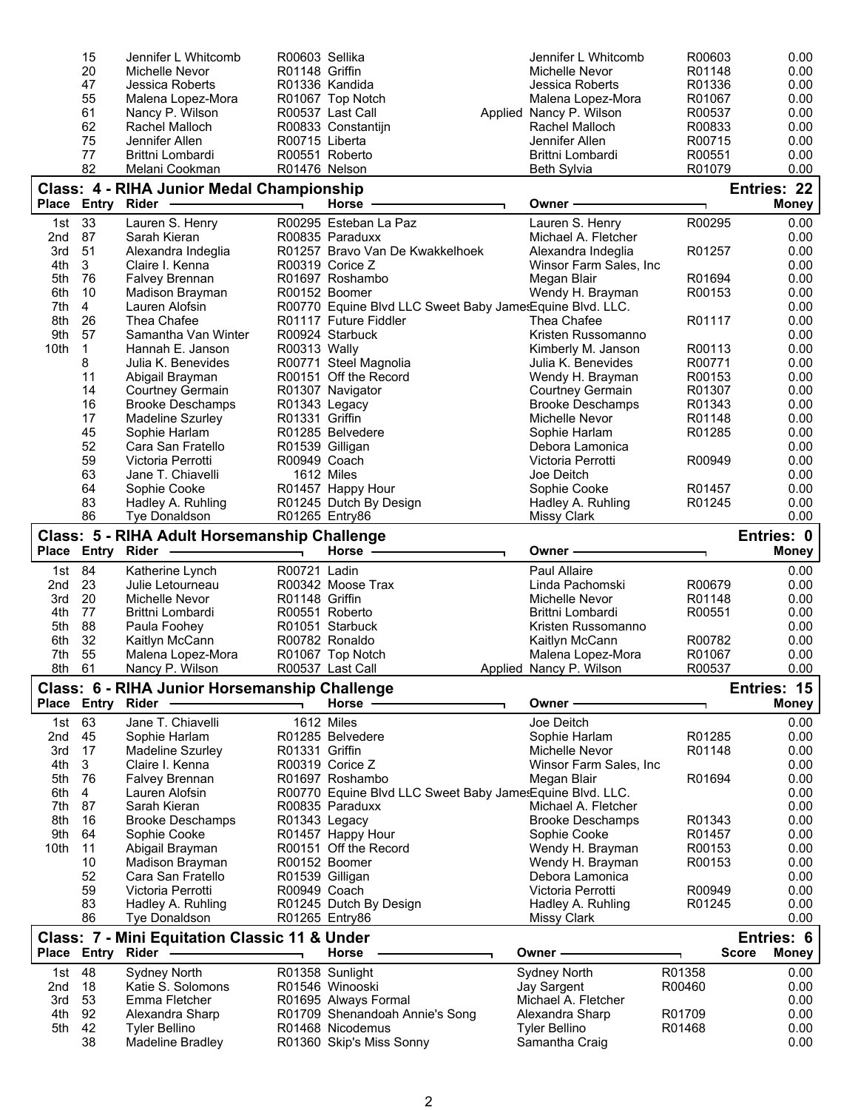|                 | 15                | Jennifer L Whitcomb                                | R00603 Sellika  |                                                          | Jennifer L Whitcomb                                | R00603           | 0.00                         |
|-----------------|-------------------|----------------------------------------------------|-----------------|----------------------------------------------------------|----------------------------------------------------|------------------|------------------------------|
|                 | 20                | Michelle Nevor                                     | R01148 Griffin  |                                                          | Michelle Nevor                                     | R01148           | 0.00                         |
|                 | 47<br>55          | Jessica Roberts<br>Malena Lopez-Mora               |                 | R01336 Kandida<br>R01067 Top Notch                       | Jessica Roberts<br>Malena Lopez-Mora               | R01336<br>R01067 | 0.00<br>0.00                 |
|                 | 61                | Nancy P. Wilson                                    |                 | R00537 Last Call                                         | Applied Nancy P. Wilson                            | R00537           | 0.00                         |
|                 | 62                | Rachel Malloch                                     |                 | R00833 Constantijn                                       | Rachel Malloch                                     | R00833           | 0.00                         |
|                 | 75                | Jennifer Allen                                     | R00715 Liberta  |                                                          | Jennifer Allen                                     | R00715           | 0.00                         |
|                 | 77                | Brittni Lombardi                                   |                 | R00551 Roberto                                           | Brittni Lombardi                                   | R00551           | 0.00                         |
|                 | 82                | Melani Cookman                                     | R01476 Nelson   |                                                          | <b>Beth Sylvia</b>                                 | R01079           | 0.00                         |
|                 |                   | Class: 4 - RIHA Junior Medal Championship          |                 |                                                          |                                                    |                  | Entries: 22                  |
| <b>Place</b>    |                   | Entry Rider -                                      |                 | <b>Horse</b>                                             | Owner                                              |                  | <b>Money</b>                 |
| 1st             | 33                | Lauren S. Henry                                    |                 | R00295 Esteban La Paz                                    | Lauren S. Henry                                    | R00295           | 0.00                         |
| 2nd             | 87                | Sarah Kieran                                       |                 | R00835 Paraduxx                                          | Michael A. Fletcher                                |                  | 0.00                         |
| 3rd<br>4th      | 51<br>3           | Alexandra Indeglia<br>Claire I. Kenna              |                 | R01257 Bravo Van De Kwakkelhoek<br>R00319 Corice Z       | Alexandra Indeglia<br>Winsor Farm Sales, Inc.      | R01257           | 0.00<br>0.00                 |
| 5th             | 76                | Falvey Brennan                                     |                 | R01697 Roshambo                                          | Megan Blair                                        | R01694           | 0.00                         |
| 6th             | 10                | Madison Brayman                                    |                 | R00152 Boomer                                            | Wendy H. Brayman                                   | R00153           | 0.00                         |
| 7th             | $\overline{4}$    | Lauren Alofsin                                     |                 | R00770 Equine Blvd LLC Sweet Baby JamesEquine Blvd. LLC. |                                                    |                  | 0.00                         |
| 8th             | 26                | Thea Chafee                                        |                 | R01117 Future Fiddler                                    | Thea Chafee                                        | R01117           | 0.00                         |
| 9th             | 57                | Samantha Van Winter                                |                 | R00924 Starbuck                                          | Kristen Russomanno                                 |                  | 0.00                         |
| 10th            | $\mathbf{1}$      | Hannah E. Janson                                   | R00313 Wally    |                                                          | Kimberly M. Janson                                 | R00113           | 0.00                         |
|                 | 8                 | Julia K. Benevides                                 |                 | R00771 Steel Magnolia                                    | Julia K. Benevides                                 | R00771           | 0.00                         |
|                 | 11                | Abigail Brayman                                    |                 | R00151 Off the Record                                    | Wendy H. Brayman                                   | R00153           | 0.00<br>0.00                 |
|                 | 14<br>16          | <b>Courtney Germain</b><br><b>Brooke Deschamps</b> | R01343 Legacy   | R01307 Navigator                                         | <b>Courtney Germain</b><br><b>Brooke Deschamps</b> | R01307<br>R01343 | 0.00                         |
|                 | 17                | Madeline Szurley                                   | R01331 Griffin  |                                                          | Michelle Nevor                                     | R01148           | 0.00                         |
|                 | 45                | Sophie Harlam                                      |                 | R01285 Belvedere                                         | Sophie Harlam                                      | R01285           | 0.00                         |
|                 | 52                | Cara San Fratello                                  | R01539 Gilligan |                                                          | Debora Lamonica                                    |                  | 0.00                         |
|                 | 59                | Victoria Perrotti                                  | R00949 Coach    |                                                          | Victoria Perrotti                                  | R00949           | 0.00                         |
|                 | 63                | Jane T. Chiavelli                                  |                 | 1612 Miles                                               | Joe Deitch                                         |                  | 0.00                         |
|                 | 64                | Sophie Cooke                                       |                 | R01457 Happy Hour                                        | Sophie Cooke                                       | R01457           | 0.00                         |
|                 | 83                | Hadley A. Ruhling                                  |                 | R01245 Dutch By Design                                   | Hadley A. Ruhling                                  | R01245           | 0.00                         |
|                 | 86                | Tye Donaldson                                      | R01265 Entry86  |                                                          | <b>Missy Clark</b>                                 |                  | 0.00                         |
|                 | Place Entry Rider | Class: 5 - RIHA Adult Horsemanship Challenge       |                 | <b>Horse</b>                                             | Owner                                              |                  | Entries: 0<br><b>Money</b>   |
|                 |                   |                                                    |                 |                                                          |                                                    |                  |                              |
|                 |                   |                                                    |                 |                                                          |                                                    |                  |                              |
| 1st             | 84                | Katherine Lynch                                    | R00721 Ladin    |                                                          | <b>Paul Allaire</b>                                |                  | 0.00                         |
| 2 <sub>nd</sub> | 23                | Julie Letourneau                                   |                 | R00342 Moose Trax                                        | Linda Pachomski                                    | R00679           | 0.00                         |
| 3rd             | 20                | Michelle Nevor                                     | R01148 Griffin  |                                                          | <b>Michelle Nevor</b><br>Brittni Lombardi          | R01148           | 0.00                         |
| 4th<br>5th      | 77<br>88          | Brittni Lombardi<br>Paula Foohey                   |                 | R00551 Roberto<br>R01051 Starbuck                        | Kristen Russomanno                                 | R00551           | 0.00<br>0.00                 |
| 6th             | 32                | Kaitlyn McCann                                     |                 | R00782 Ronaldo                                           | Kaitlyn McCann                                     | R00782           | 0.00                         |
| 7th             | 55                | Malena Lopez-Mora                                  |                 | R01067 Top Notch                                         | Malena Lopez-Mora                                  | R01067           | 0.00                         |
| 8th             | 61                | Nancy P. Wilson                                    |                 | R00537 Last Call                                         | Applied Nancy P. Wilson                            | R00537           | 0.00                         |
|                 |                   | Class: 6 - RIHA Junior Horsemanship Challenge      |                 |                                                          |                                                    |                  | Entries: 15                  |
|                 | Place Entry Rider |                                                    |                 | Horse -                                                  | Owner                                              |                  | <b>Money</b>                 |
| 1st             | 63                | Jane T. Chiavelli                                  |                 | 1612 Miles                                               | Joe Deitch                                         |                  | 0.00                         |
| 2nd             | 45                | Sophie Harlam                                      |                 | R01285 Belvedere                                         | Sophie Harlam                                      | R01285           | 0.00                         |
| 3rd             | 17                | Madeline Szurley                                   | R01331 Griffin  |                                                          | Michelle Nevor                                     | R01148           | 0.00                         |
| 4th<br>5th      | 3<br>76           | Claire I. Kenna                                    |                 | R00319 Corice Z<br>R01697 Roshambo                       | Winsor Farm Sales, Inc.                            | R01694           | 0.00<br>0.00                 |
| 6th             | 4                 | Falvey Brennan<br>Lauren Alofsin                   |                 | R00770 Equine Blvd LLC Sweet Baby JamesEquine Blvd. LLC. | Megan Blair                                        |                  | 0.00                         |
| 7th             | 87                | Sarah Kieran                                       |                 | R00835 Paraduxx                                          | Michael A. Fletcher                                |                  | 0.00                         |
| 8th             | 16                | <b>Brooke Deschamps</b>                            | R01343 Legacy   |                                                          | <b>Brooke Deschamps</b>                            | R01343           | 0.00                         |
| 9th             | 64                | Sophie Cooke                                       |                 | R01457 Happy Hour                                        | Sophie Cooke                                       | R01457           | 0.00                         |
| 10th            | 11                | Abigail Brayman                                    |                 | R00151 Off the Record                                    | Wendy H. Brayman                                   | R00153           | 0.00                         |
|                 | 10                | Madison Brayman                                    |                 | R00152 Boomer                                            | Wendy H. Brayman                                   | R00153           | 0.00                         |
|                 | 52                | Cara San Fratello                                  |                 | R01539 Gilligan                                          | Debora Lamonica                                    |                  | 0.00                         |
|                 | 59                | Victoria Perrotti                                  | R00949 Coach    |                                                          | Victoria Perrotti                                  | R00949           | 0.00                         |
|                 | 83<br>86          | Hadley A. Ruhling<br><b>Tye Donaldson</b>          |                 | R01245 Dutch By Design<br>R01265 Entry86                 | Hadley A. Ruhling<br>Missy Clark                   | R01245           | 0.00<br>0.00                 |
|                 |                   |                                                    |                 |                                                          |                                                    |                  | Entries: 6                   |
|                 | Place Entry Rider | Class: 7 - Mini Equitation Classic 11 & Under      |                 | Horse                                                    | Owner                                              |                  | <b>Score</b><br><b>Money</b> |
| 1st             | 48                | Sydney North                                       |                 | R01358 Sunlight                                          | Sydney North                                       | R01358           | 0.00                         |
| 2nd             | 18                | Katie S. Solomons                                  |                 | R01546 Winooski                                          | Jay Sargent                                        | R00460           | 0.00                         |
| 3rd             | 53                | Emma Fletcher                                      |                 | R01695 Always Formal                                     | Michael A. Fletcher                                |                  | 0.00                         |
| 4th             | 92                | Alexandra Sharp                                    |                 | R01709 Shenandoah Annie's Song                           | Alexandra Sharp                                    | R01709           | 0.00                         |
| 5th             | 42<br>38          | <b>Tyler Bellino</b><br><b>Madeline Bradley</b>    |                 | R01468 Nicodemus<br>R01360 Skip's Miss Sonny             | <b>Tyler Bellino</b><br>Samantha Craig             | R01468           | 0.00<br>0.00                 |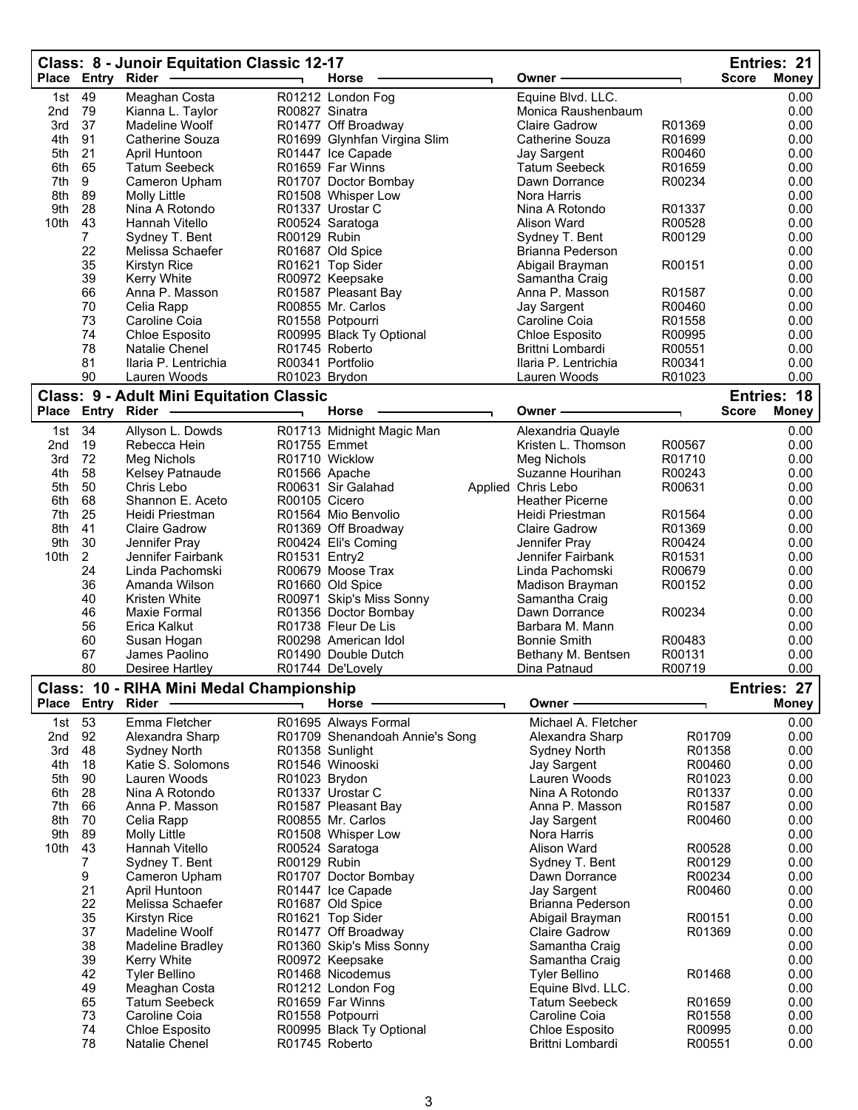|              | Place Entry Rider | Class: 8 - Junoir Equitation Classic 12-17      |                | Horse                                           | Owner                                     |                  | <b>Score</b> | Entries: 21<br><b>Money</b> |
|--------------|-------------------|-------------------------------------------------|----------------|-------------------------------------------------|-------------------------------------------|------------------|--------------|-----------------------------|
|              | 49                |                                                 |                | R01212 London Fog                               |                                           |                  |              |                             |
| 1st<br>2nd   | 79                | Meaghan Costa<br>Kianna L. Taylor               | R00827 Sinatra |                                                 | Equine Blvd. LLC.<br>Monica Raushenbaum   |                  |              | 0.00<br>0.00                |
| 3rd          | 37                | Madeline Woolf                                  |                | R01477 Off Broadway                             | <b>Claire Gadrow</b>                      | R01369           |              | 0.00                        |
| 4th          | 91                | Catherine Souza                                 |                | R01699 Glynhfan Virgina Slim                    | Catherine Souza                           | R01699           |              | 0.00                        |
| 5th          | 21                | April Huntoon                                   |                | R01447 Ice Capade                               | Jay Sargent                               | R00460           |              | 0.00                        |
| 6th          | 65                | <b>Tatum Seebeck</b>                            |                | R01659 Far Winns                                | <b>Tatum Seebeck</b>                      | R01659           |              | 0.00                        |
| 7th          | 9                 | Cameron Upham                                   |                | R01707 Doctor Bombay                            | Dawn Dorrance                             | R00234           |              | 0.00                        |
| 8th          | 89                | <b>Molly Little</b>                             |                | R01508 Whisper Low                              | Nora Harris                               |                  |              | 0.00                        |
| 9th          | 28                | Nina A Rotondo                                  |                | R01337 Urostar C                                | Nina A Rotondo                            | R01337           |              | 0.00                        |
| 10th         | 43                | Hannah Vitello                                  |                | R00524 Saratoga                                 | Alison Ward                               | R00528           |              | 0.00                        |
|              | $\overline{7}$    | Sydney T. Bent                                  | R00129 Rubin   |                                                 | Sydney T. Bent                            | R00129           |              | 0.00                        |
|              | 22<br>35          | Melissa Schaefer                                |                | R01687 Old Spice<br>R01621 Top Sider            | Brianna Pederson                          | R00151           |              | 0.00<br>0.00                |
|              | 39                | <b>Kirstyn Rice</b><br><b>Kerry White</b>       |                | R00972 Keepsake                                 | Abigail Brayman<br>Samantha Craig         |                  |              | 0.00                        |
|              | 66                | Anna P. Masson                                  |                | R01587 Pleasant Bay                             | Anna P. Masson                            | R01587           |              | 0.00                        |
|              | 70                | Celia Rapp                                      |                | R00855 Mr. Carlos                               | Jay Sargent                               | R00460           |              | 0.00                        |
|              | 73                | Caroline Coia                                   |                | R01558 Potpourri                                | Caroline Coia                             | R01558           |              | 0.00                        |
|              | 74                | Chloe Esposito                                  |                | R00995 Black Ty Optional                        | Chloe Esposito                            | R00995           |              | 0.00                        |
|              | 78                | Natalie Chenel                                  |                | R01745 Roberto                                  | Brittni Lombardi                          | R00551           |              | 0.00                        |
|              | 81                | Ilaria P. Lentrichia                            |                | R00341 Portfolio                                | Ilaria P. Lentrichia                      | R00341           |              | 0.00                        |
|              | 90                | Lauren Woods                                    | R01023 Brydon  |                                                 | Lauren Woods                              | R01023           |              | 0.00                        |
|              |                   | <b>Class: 9 - Adult Mini Equitation Classic</b> |                |                                                 |                                           |                  |              | Entries: 18                 |
| <b>Place</b> | Entry Rider       |                                                 |                | <b>Horse</b>                                    | Owner -                                   |                  | <b>Score</b> | <b>Money</b>                |
| 1st          | 34                | Allyson L. Dowds                                |                | R01713 Midnight Magic Man                       | Alexandria Quayle                         |                  |              | 0.00                        |
| 2nd          | 19                | Rebecca Hein                                    |                | R01755 Emmet                                    | Kristen L. Thomson                        | R00567           |              | 0.00                        |
| 3rd          | 72                | Meg Nichols                                     |                | R01710 Wicklow                                  | Meg Nichols                               | R01710           |              | 0.00                        |
| 4th          | 58                | Kelsey Patnaude                                 |                | R01566 Apache                                   | Suzanne Hourihan                          | R00243           |              | 0.00                        |
| 5th          | 50                | Chris Lebo                                      |                | R00631 Sir Galahad                              | Applied Chris Lebo                        | R00631           |              | 0.00                        |
| 6th<br>7th   | 68<br>25          | Shannon E. Aceto<br>Heidi Priestman             | R00105 Cicero  | R01564 Mio Benvolio                             | <b>Heather Picerne</b><br>Heidi Priestman | R01564           |              | 0.00<br>0.00                |
| 8th          | 41                | <b>Claire Gadrow</b>                            |                | R01369 Off Broadway                             | <b>Claire Gadrow</b>                      | R01369           |              | 0.00                        |
| 9th          | 30                | Jennifer Pray                                   |                | R00424 Eli's Coming                             | Jennifer Pray                             | R00424           |              | 0.00                        |
| 10th         | $\overline{2}$    | Jennifer Fairbank                               | R01531 Entry2  |                                                 | Jennifer Fairbank                         | R01531           |              | 0.00                        |
|              | 24                | Linda Pachomski                                 |                | R00679 Moose Trax                               | Linda Pachomski                           | R00679           |              | 0.00                        |
|              | 36                | Amanda Wilson                                   |                | R01660 Old Spice                                | Madison Brayman                           | R00152           |              | 0.00                        |
|              | 40                | Kristen White                                   |                | R00971 Skip's Miss Sonny                        | Samantha Craig                            |                  |              | 0.00                        |
|              | 46                | Maxie Formal                                    |                | R01356 Doctor Bombay                            | Dawn Dorrance                             | R00234           |              | 0.00                        |
|              | 56                | Erica Kalkut                                    |                | R01738 Fleur De Lis                             | Barbara M. Mann                           |                  |              | 0.00                        |
|              | 60                | Susan Hogan                                     |                | R00298 American Idol                            | <b>Bonnie Smith</b>                       | R00483           |              | 0.00                        |
|              | 67                | James Paolino                                   |                | R01490 Double Dutch                             | Bethany M. Bentsen                        | R00131           |              | 0.00                        |
|              | 80                | Desiree Hartley                                 |                | R01744 De'Lovely                                | Dina Patnaud                              | R00719           |              | 0.00                        |
|              |                   | Class: 10 - RIHA Mini Medal Championship        |                |                                                 |                                           |                  |              | Entries: 27                 |
|              | Place Entry Rider |                                                 |                | <b>Horse</b>                                    | Owner                                     |                  |              | <b>Money</b>                |
| 1st          | 53                | Emma Fletcher                                   |                | R01695 Always Formal                            | Michael A. Fletcher                       |                  |              | 0.00                        |
| 2nd          | 92                | Alexandra Sharp                                 |                | R01709 Shenandoah Annie's Song                  | Alexandra Sharp                           | R01709           |              | 0.00                        |
| 3rd<br>4th   | 48<br>18          | Sydney North<br>Katie S. Solomons               |                | R01358 Sunlight<br>R01546 Winooski              | Sydney North<br>Jay Sargent               | R01358<br>R00460 |              | 0.00<br>0.00                |
| 5th          | 90                | Lauren Woods                                    | R01023 Brydon  |                                                 | Lauren Woods                              | R01023           |              | 0.00                        |
| 6th          | 28                | Nina A Rotondo                                  |                | R01337 Urostar C                                | Nina A Rotondo                            | R01337           |              | 0.00                        |
| 7th          | 66                | Anna P. Masson                                  |                | R01587 Pleasant Bay                             | Anna P. Masson                            | R01587           |              | 0.00                        |
| 8th          | 70                | Celia Rapp                                      |                | R00855 Mr. Carlos                               | Jay Sargent                               | R00460           |              | 0.00                        |
| 9th          | 89                | <b>Molly Little</b>                             |                | R01508 Whisper Low                              | Nora Harris                               |                  |              | 0.00                        |
| 10th         | 43                | Hannah Vitello                                  |                | R00524 Saratoga                                 | Alison Ward                               | R00528           |              | 0.00                        |
|              | $\overline{7}$    | Sydney T. Bent                                  | R00129 Rubin   |                                                 | Sydney T. Bent                            | R00129           |              | 0.00                        |
|              | 9                 | Cameron Upham                                   |                | R01707 Doctor Bombay                            | Dawn Dorrance                             | R00234           |              | 0.00                        |
|              | 21                | April Huntoon                                   |                | R01447 Ice Capade                               | Jay Sargent                               | R00460           |              | 0.00                        |
|              | 22                | Melissa Schaefer                                |                | R01687 Old Spice                                | Brianna Pederson                          |                  |              | 0.00                        |
|              | 35<br>37          | <b>Kirstyn Rice</b>                             |                | R01621 Top Sider                                | Abigail Brayman<br><b>Claire Gadrow</b>   | R00151<br>R01369 |              | 0.00<br>0.00                |
|              | 38                | Madeline Woolf<br>Madeline Bradley              |                | R01477 Off Broadway<br>R01360 Skip's Miss Sonny | Samantha Craig                            |                  |              | 0.00                        |
|              | 39                | <b>Kerry White</b>                              |                | R00972 Keepsake                                 | Samantha Craig                            |                  |              | 0.00                        |
|              | 42                | <b>Tyler Bellino</b>                            |                | R01468 Nicodemus                                | <b>Tyler Bellino</b>                      | R01468           |              | 0.00                        |
|              | 49                | Meaghan Costa                                   |                | R01212 London Fog                               | Equine Blvd. LLC.                         |                  |              | 0.00                        |
|              | 65                | <b>Tatum Seebeck</b>                            |                | R01659 Far Winns                                | <b>Tatum Seebeck</b>                      | R01659           |              | 0.00                        |
|              | 73                | Caroline Coia                                   |                | R01558 Potpourri                                | Caroline Coia                             | R01558           |              | 0.00                        |
|              | 74                | Chloe Esposito                                  |                | R00995 Black Ty Optional                        | Chloe Esposito                            | R00995           |              | 0.00                        |
|              | 78                | Natalie Chenel                                  |                | R01745 Roberto                                  | Brittni Lombardi                          | R00551           |              | 0.00                        |